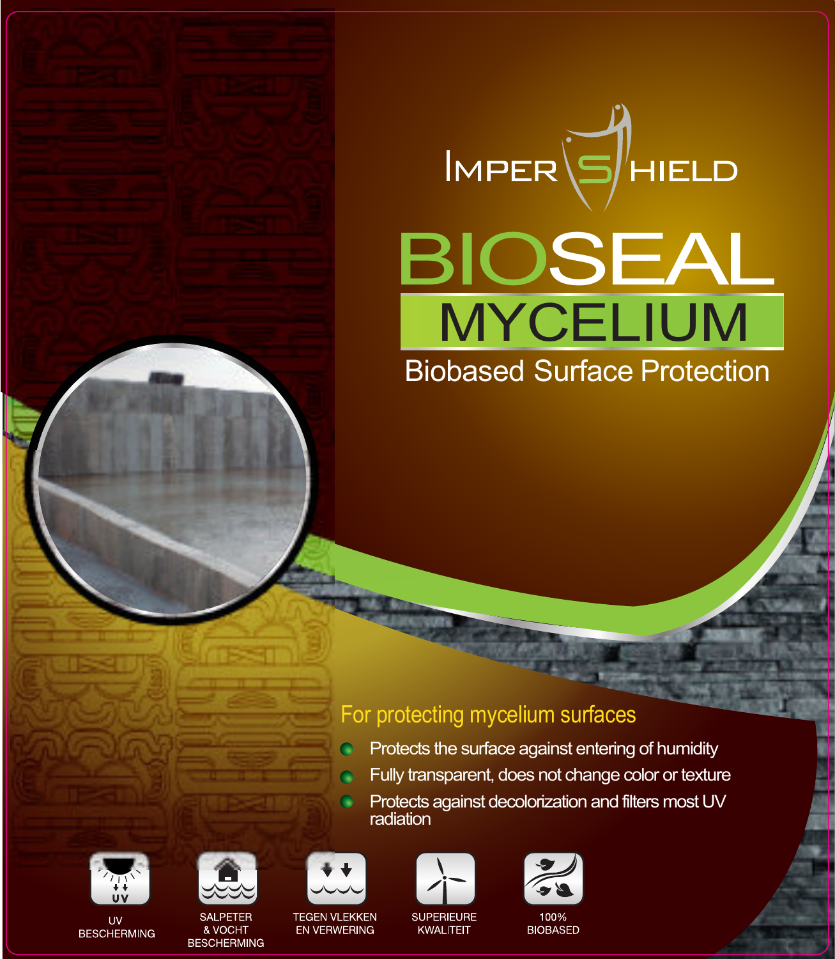

## **MYCELIUM** Biobased Surface Protection BIOSEAL

## For protecting mycelium surfaces

- Protects the surface against entering of humidity
- Fully transparent, does not change color or texture ò
- Protects against decolorization and filters most UV  $\bullet$ radiation



**BESCHERMING** 



& VOCHT **BESCHERMING** 



**EN VERWERING** 



**SUPERIFURI KWAI ITEIT** 



100% **RIORASED**